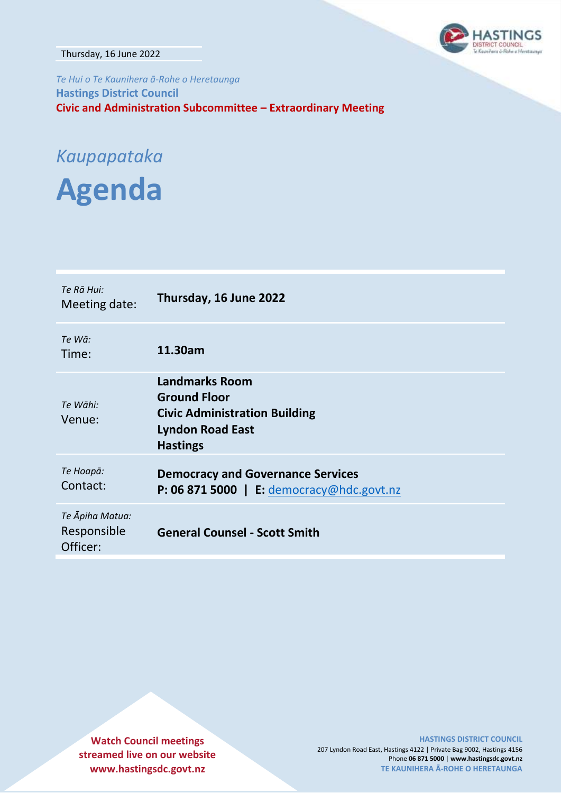Thursday, 16 June 2022

*Te Hui o Te Kaunihera ā-Rohe o Heretaunga* **Hastings District Council Civic and Administration Subcommittee – Extraordinary Meeting**

# *Kaupapataka*

**Agenda**

| Te Rā Hui:<br>Meeting date:                | Thursday, 16 June 2022                                                                                                             |
|--------------------------------------------|------------------------------------------------------------------------------------------------------------------------------------|
| Te Wā:<br>Time:                            | 11.30am                                                                                                                            |
| Te Wāhi:<br>Venue:                         | <b>Landmarks Room</b><br><b>Ground Floor</b><br><b>Civic Administration Building</b><br><b>Lyndon Road East</b><br><b>Hastings</b> |
| Те Ноара:<br>Contact:                      | <b>Democracy and Governance Services</b><br>P: 06 871 5000   E: democracy@hdc.govt.nz                                              |
| Te Āpiha Matua:<br>Responsible<br>Officer: | <b>General Counsel - Scott Smith</b>                                                                                               |

**Watch Council meetings streamed live on our website www.hastingsdc.govt.nz**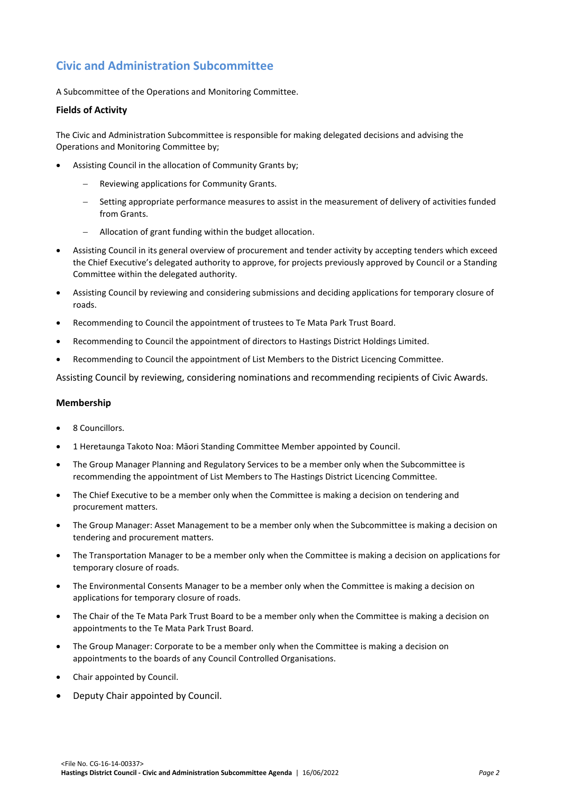# **Civic and Administration Subcommittee**

A Subcommittee of the Operations and Monitoring Committee.

#### **Fields of Activity**

The Civic and Administration Subcommittee is responsible for making delegated decisions and advising the Operations and Monitoring Committee by;

- Assisting Council in the allocation of Community Grants by;
	- Reviewing applications for Community Grants.
	- Setting appropriate performance measures to assist in the measurement of delivery of activities funded from Grants.
	- Allocation of grant funding within the budget allocation.
- Assisting Council in its general overview of procurement and tender activity by accepting tenders which exceed the Chief Executive's delegated authority to approve, for projects previously approved by Council or a Standing Committee within the delegated authority.
- Assisting Council by reviewing and considering submissions and deciding applications for temporary closure of roads.
- Recommending to Council the appointment of trustees to Te Mata Park Trust Board.
- Recommending to Council the appointment of directors to Hastings District Holdings Limited.
- Recommending to Council the appointment of List Members to the District Licencing Committee.

Assisting Council by reviewing, considering nominations and recommending recipients of Civic Awards.

#### **Membership**

- 8 Councillors.
- 1 Heretaunga Takoto Noa: Māori Standing Committee Member appointed by Council.
- The Group Manager Planning and Regulatory Services to be a member only when the Subcommittee is recommending the appointment of List Members to The Hastings District Licencing Committee.
- The Chief Executive to be a member only when the Committee is making a decision on tendering and procurement matters.
- The Group Manager: Asset Management to be a member only when the Subcommittee is making a decision on tendering and procurement matters.
- The Transportation Manager to be a member only when the Committee is making a decision on applications for temporary closure of roads.
- The Environmental Consents Manager to be a member only when the Committee is making a decision on applications for temporary closure of roads.
- The Chair of the Te Mata Park Trust Board to be a member only when the Committee is making a decision on appointments to the Te Mata Park Trust Board.
- The Group Manager: Corporate to be a member only when the Committee is making a decision on appointments to the boards of any Council Controlled Organisations.
- Chair appointed by Council.
- Deputy Chair appointed by Council.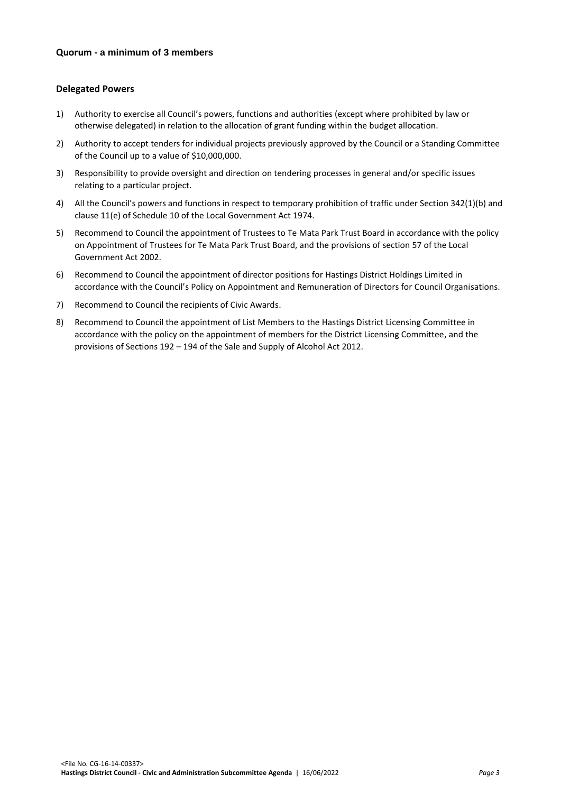#### **Delegated Powers**

- 1) Authority to exercise all Council's powers, functions and authorities (except where prohibited by law or otherwise delegated) in relation to the allocation of grant funding within the budget allocation.
- 2) Authority to accept tenders for individual projects previously approved by the Council or a Standing Committee of the Council up to a value of \$10,000,000.
- 3) Responsibility to provide oversight and direction on tendering processes in general and/or specific issues relating to a particular project.
- 4) All the Council's powers and functions in respect to temporary prohibition of traffic under Section 342(1)(b) and clause 11(e) of Schedule 10 of the Local Government Act 1974.
- 5) Recommend to Council the appointment of Trustees to Te Mata Park Trust Board in accordance with the policy on Appointment of Trustees for Te Mata Park Trust Board, and the provisions of section 57 of the Local Government Act 2002.
- 6) Recommend to Council the appointment of director positions for Hastings District Holdings Limited in accordance with the Council's Policy on Appointment and Remuneration of Directors for Council Organisations.
- 7) Recommend to Council the recipients of Civic Awards.
- 8) Recommend to Council the appointment of List Members to the Hastings District Licensing Committee in accordance with the policy on the appointment of members for the District Licensing Committee, and the provisions of Sections 192 – 194 of the Sale and Supply of Alcohol Act 2012.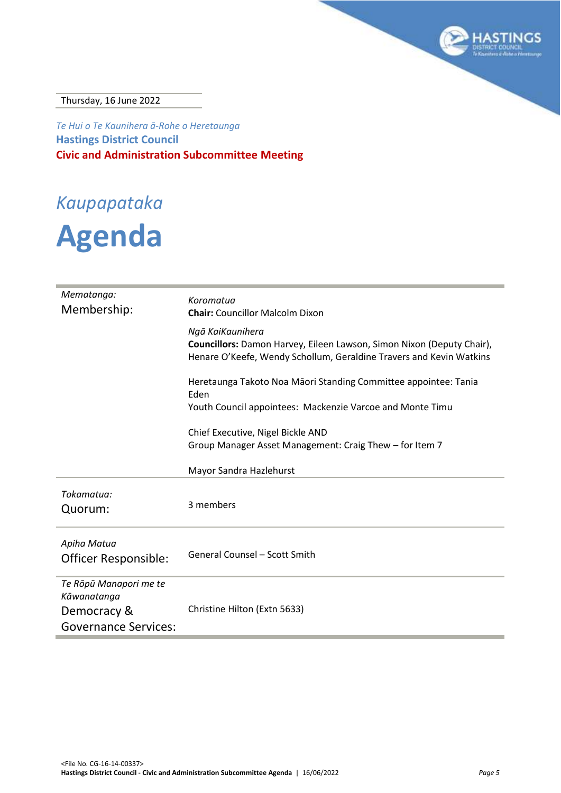

Thursday, 16 June 2022

*Te Hui o Te Kaunihera ā-Rohe o Heretaunga* **Hastings District Council Civic and Administration Subcommittee Meeting**

# *Kaupapataka*

# **Agenda**

| Mematanga:<br>Membership:             | Koromatua<br><b>Chair:</b> Councillor Malcolm Dixon                                                                                                              |  |  |
|---------------------------------------|------------------------------------------------------------------------------------------------------------------------------------------------------------------|--|--|
|                                       | Ngā KaiKaunihera<br>Councillors: Damon Harvey, Eileen Lawson, Simon Nixon (Deputy Chair),<br>Henare O'Keefe, Wendy Schollum, Geraldine Travers and Kevin Watkins |  |  |
|                                       | Heretaunga Takoto Noa Māori Standing Committee appointee: Tania<br>Eden                                                                                          |  |  |
|                                       | Youth Council appointees: Mackenzie Varcoe and Monte Timu                                                                                                        |  |  |
|                                       | Chief Executive, Nigel Bickle AND<br>Group Manager Asset Management: Craig Thew – for Item 7                                                                     |  |  |
|                                       | Mayor Sandra Hazlehurst                                                                                                                                          |  |  |
| Tokamatua:<br>Quorum:                 | 3 members                                                                                                                                                        |  |  |
| Apiha Matua<br>Officer Responsible:   | <b>General Counsel - Scott Smith</b>                                                                                                                             |  |  |
| Te Rōpū Manapori me te<br>Kāwanatanga |                                                                                                                                                                  |  |  |
| Democracy &                           | Christine Hilton (Extn 5633)                                                                                                                                     |  |  |
| <b>Governance Services:</b>           |                                                                                                                                                                  |  |  |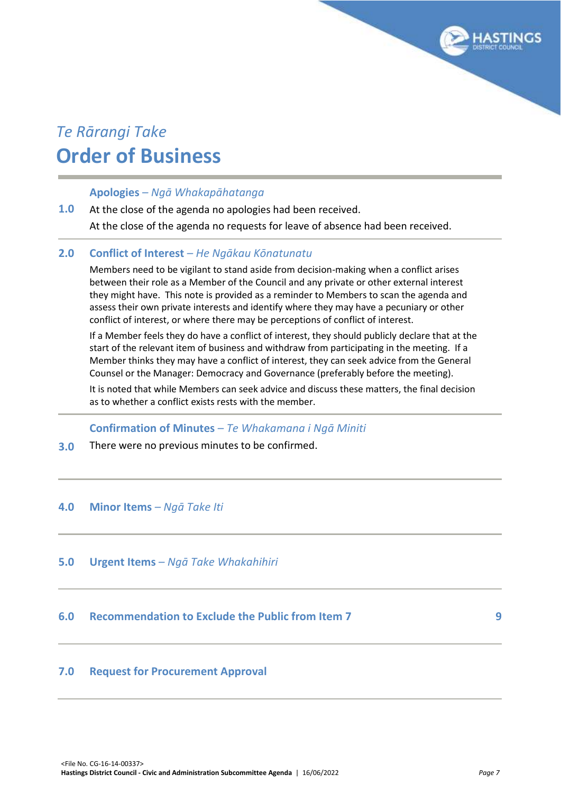# *Te Rārangi Take* **Order of Business**

### **Apologies** *– Ngā Whakapāhatanga*

#### **1.0** At the close of the agenda no apologies had been received. At the close of the agenda no requests for leave of absence had been received.

#### **2.0 Conflict of Interest** *– He Ngākau Kōnatunatu*

Members need to be vigilant to stand aside from decision-making when a conflict arises between their role as a Member of the Council and any private or other external interest they might have. This note is provided as a reminder to Members to scan the agenda and assess their own private interests and identify where they may have a pecuniary or other conflict of interest, or where there may be perceptions of conflict of interest.

If a Member feels they do have a conflict of interest, they should publicly declare that at the start of the relevant item of business and withdraw from participating in the meeting. If a Member thinks they may have a conflict of interest, they can seek advice from the General Counsel or the Manager: Democracy and Governance (preferably before the meeting).

It is noted that while Members can seek advice and discuss these matters, the final decision as to whether a conflict exists rests with the member.

#### **Confirmation of Minutes** *– Te Whakamana i Ngā Miniti*

**3.0** There were no previous minutes to be confirmed.

#### **4.0 Minor Items** *– Ngā Take Iti*

#### **5.0 Urgent Items** *– Ngā Take Whakahihiri*

## **6.0 Recommendation to Exclude the Public from Item 7 [9](#page-8-0)**

#### **7.0 Request for Procurement Approval**